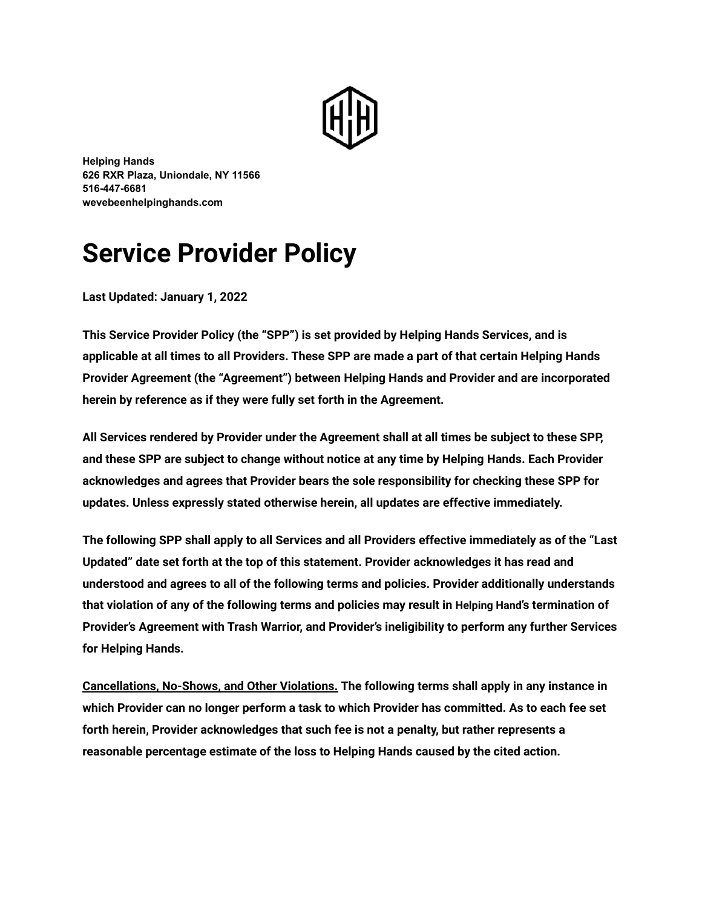

**Helping Hands 626 RXR Plaza, Uniondale, NY 11566 516-447-6681 ZeYebeenhelpinghands.com**

# **Service Provider Policy**

**Last Updated: January 1, 2022** 

This Service Provider Policy (the "SPP") is set provided by Helping Hands Services, and is **applicable at all times to all Providers. These SPP are made a part of that certain Helping Hands** Provider Agreement (the "Agreement") between Helping Hands and Provider and are incorporated herein by reference as if they were fully set forth in the Agreement.

All Services rendered by Provider under the Agreement shall at all times be subject to these SPP, and these SPP are subject to change without notice at any time by Helping Hands. Each Provider acknowledges and agrees that Provider bears the sole responsibility for checking these SPP for updates. Unless expressly stated otherwise herein, all updates are effective immediately.

The following SPP shall apply to all Services and all Providers effective immediately as of the "Last **UpdatedƉ date set forth at the top of this statement. Provider acknowledges it has read and** understood and agrees to all of the following terms and policies. Provider additionally understands that violation of any of the following terms and policies may result in Helping Hand's termination of **Provider's Agreement with Trash Warrior, and Provider's ineligibility to perform any further Services for Helping Hands.**

**Cancellations, No-Shows, and Other Violations.** The following terms shall apply in any instance in **which Provider can no longer perform a task to which Provider has committed. As to each fee set** forth herein, Provider acknowledges that such fee is not a penalty, but rather represents a reasonable percentage estimate of the loss to Helping Hands caused by the cited action.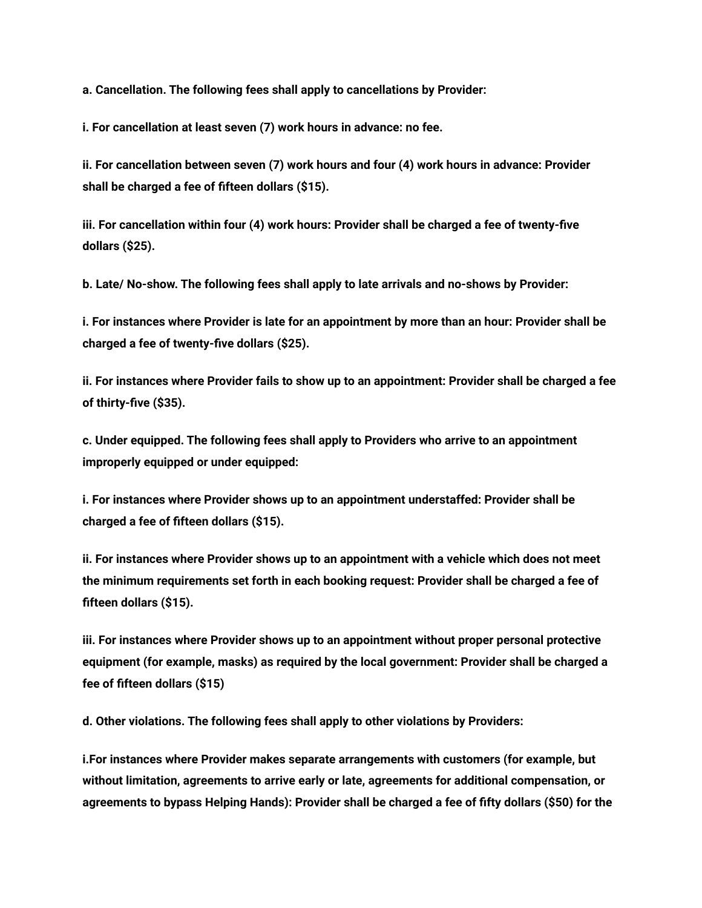a. Cancellation. The following fees shall apply to cancellations by Provider:

**i. For cancellation at least seven (7) work hours in advance: no fee.**

**ii. For cancellation between seven (7) work hours and four (4) work hours in advance: Provider** shall be charged a fee of fifteen dollars (\$15).

iii. For cancellation within four (4) work hours: Provider shall be charged a fee of twenty-five **dollars (\$25).**

**b. Late/ No-show. The following fees shall apply to late arrivals and no-shows by Provider:** 

i. For instances where Provider is late for an appointment by more than an hour: Provider shall be charged a fee of twenty-five dollars (\$25).

**ii. For instances where Provider fails to show up to an appointment: Provider shall be charged a fee** of thirty-five (\$35).

**c. Under equipped. The following fees shall appl] to Providers who arrive to an appointment improperly equipped or under equipped:** 

**i. For instances where Provider shows up to an appointment understaffed: Provider shall be charged a fee of ƻfteen dollars (\$15).**

**ii. For instances where Provider shows up to an appointment with a vehicle which does not meet the minimum requirements set forth in each booking request: Provider shall be charged a fee of** fifteen dollars (\$15).

**iii. For instances where Provider shows up to an appointment without proper personal protective** equipment (for example, masks) as required by the local government: Provider shall be charged a **fee of ƻfteen dollars (\$15)**

d. Other violations. The following fees shall apply to other violations by Providers:

**i.For instances where Provider makes separate arrangements with customers (for example, but** without limitation, agreements to arrive early or late, agreements for additional compensation, or agreements to bypass Helping Hands): Provider shall be charged a fee of fifty dollars (\$50) for the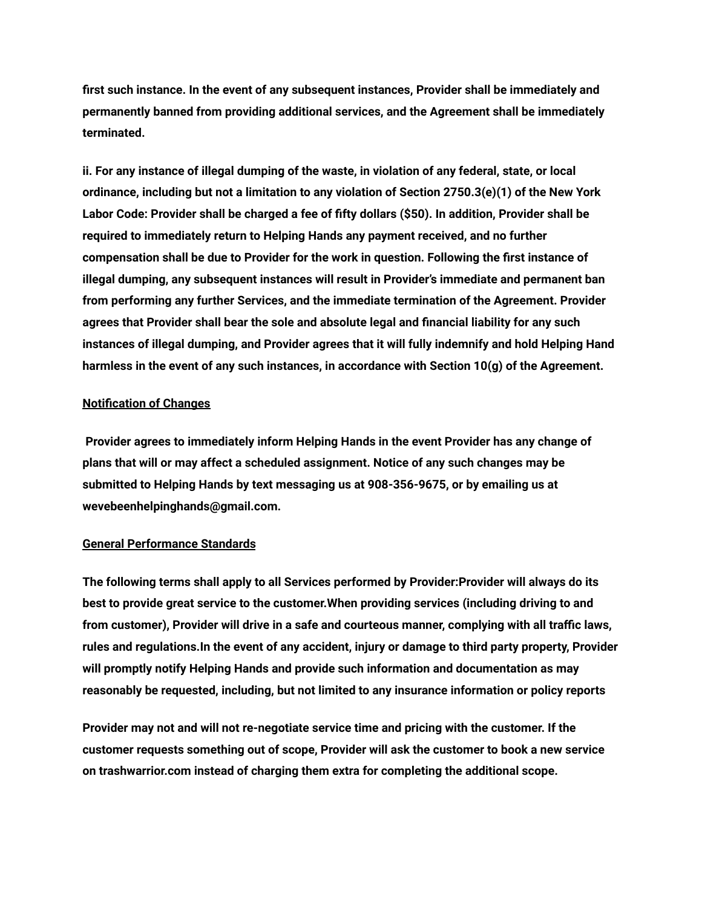first such instance. In the event of any subsequent instances, Provider shall be immediately and **permanently banned from providing additional services, and the Agreement shall be immediately terminated.**

ii. For any instance of illegal dumping of the waste, in violation of any federal, state, or local ordinance, including but not a limitation to any violation of Section 2750.3(e)(1) of the New York Labor Code: Provider shall be charged a fee of fifty dollars (\$50). In addition, Provider shall be required to immediately return to Helping Hands any payment received, and no further **compensation shall be due to Provider for the work in question. Following the ƻrst instance of** illegal dumping, any subsequent instances will result in Provider's immediate and permanent ban from performing any further Services, and the immediate termination of the Agreement. Provider agrees that Provider shall bear the sole and absolute legal and financial liability for any such instances of illegal dumping, and Provider agrees that it will fully indemnify and hold Helping Hand harmless in the event of any such instances, in accordance with Section 10(g) of the Agreement.

## **Notification of Changes**

Provider agrees to immediately inform Helping Hands in the event Provider has any change of plans that will or may affect a scheduled assignment. Notice of any such changes may be submitted to Helping Hands by text messaging us at 908-356-9675, or by emailing us at **wevebeenhelpinghands@gmail.com.**

## **General Performance Standards**

The following terms shall apply to all Services performed by Provider:Provider will always do its **best to provide great service to the customer.When providing services (including driving to and** from customer), Provider will drive in a safe and courteous manner, complying with all traffic laws, rules and regulations. In the event of any accident, injury or damage to third party property, Provider will promptly notify Helping Hands and provide such information and documentation as may reasonably be requested, including, but not limited to any insurance information or policy reports

Provider may not and will not re-negotiate service time and pricing with the customer. If the **customer requests something out of scope, Provider will ask the customer to book a new service on trashwarrior.com instead of charging them e\tra for completing the additional scope.**